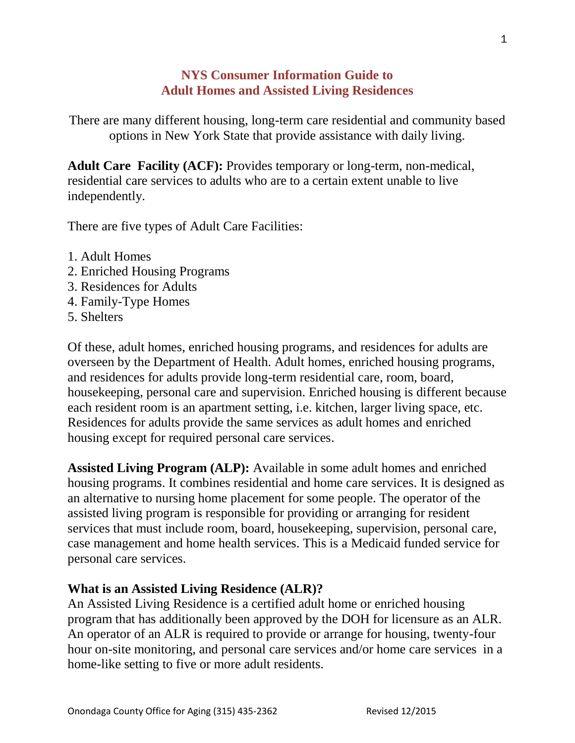## **NYS Consumer Information Guide to Adult Homes and Assisted Living Residences**

There are many different housing, long-term care residential and community based options in New York State that provide assistance with daily living.

**Adult Care Facility (ACF):** Provides temporary or long-term, non-medical, residential care services to adults who are to a certain extent unable to live independently.

There are five types of Adult Care Facilities:

- 1. Adult Homes
- 2. Enriched Housing Programs
- 3. Residences for Adults
- 4. Family-Type Homes
- 5. Shelters

Of these, adult homes, enriched housing programs, and residences for adults are overseen by the Department of Health. Adult homes, enriched housing programs, and residences for adults provide long-term residential care, room, board, housekeeping, personal care and supervision. Enriched housing is different because each resident room is an apartment setting, i.e. kitchen, larger living space, etc. Residences for adults provide the same services as adult homes and enriched housing except for required personal care services.

**Assisted Living Program (ALP):** Available in some adult homes and enriched housing programs. It combines residential and home care services. It is designed as an alternative to nursing home placement for some people. The operator of the assisted living program is responsible for providing or arranging for resident services that must include room, board, housekeeping, supervision, personal care, case management and home health services. This is a Medicaid funded service for personal care services.

## **What is an Assisted Living Residence (ALR)?**

An Assisted Living Residence is a certified adult home or enriched housing program that has additionally been approved by the DOH for licensure as an ALR. An operator of an ALR is required to provide or arrange for housing, twenty-four hour on-site monitoring, and personal care services and/or home care services in a home-like setting to five or more adult residents.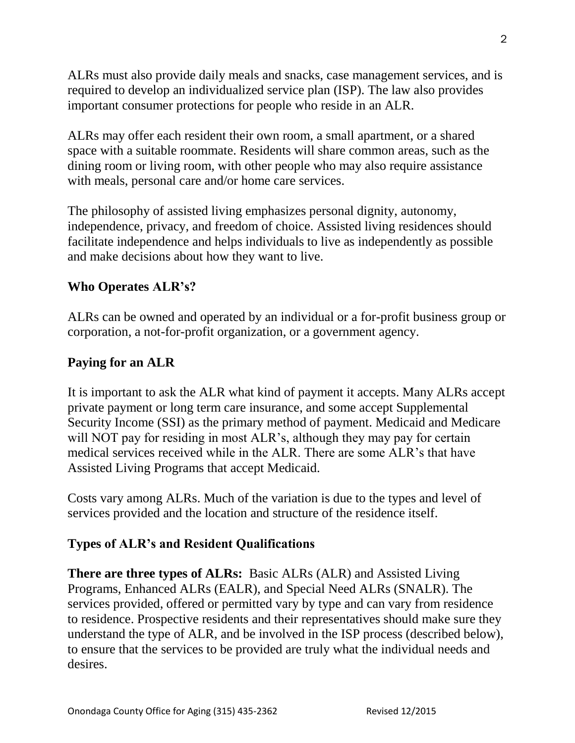ALRs must also provide daily meals and snacks, case management services, and is required to develop an individualized service plan (ISP). The law also provides important consumer protections for people who reside in an ALR.

ALRs may offer each resident their own room, a small apartment, or a shared space with a suitable roommate. Residents will share common areas, such as the dining room or living room, with other people who may also require assistance with meals, personal care and/or home care services.

The philosophy of assisted living emphasizes personal dignity, autonomy, independence, privacy, and freedom of choice. Assisted living residences should facilitate independence and helps individuals to live as independently as possible and make decisions about how they want to live.

## **Who Operates ALR's?**

ALRs can be owned and operated by an individual or a for-profit business group or corporation, a not-for-profit organization, or a government agency.

## **Paying for an ALR**

It is important to ask the ALR what kind of payment it accepts. Many ALRs accept private payment or long term care insurance, and some accept Supplemental Security Income (SSI) as the primary method of payment. Medicaid and Medicare will NOT pay for residing in most ALR's, although they may pay for certain medical services received while in the ALR. There are some ALR's that have Assisted Living Programs that accept Medicaid.

Costs vary among ALRs. Much of the variation is due to the types and level of services provided and the location and structure of the residence itself.

#### **Types of ALR's and Resident Qualifications**

**There are three types of ALRs:** Basic ALRs (ALR) and Assisted Living Programs, Enhanced ALRs (EALR), and Special Need ALRs (SNALR). The services provided, offered or permitted vary by type and can vary from residence to residence. Prospective residents and their representatives should make sure they understand the type of ALR, and be involved in the ISP process (described below), to ensure that the services to be provided are truly what the individual needs and desires.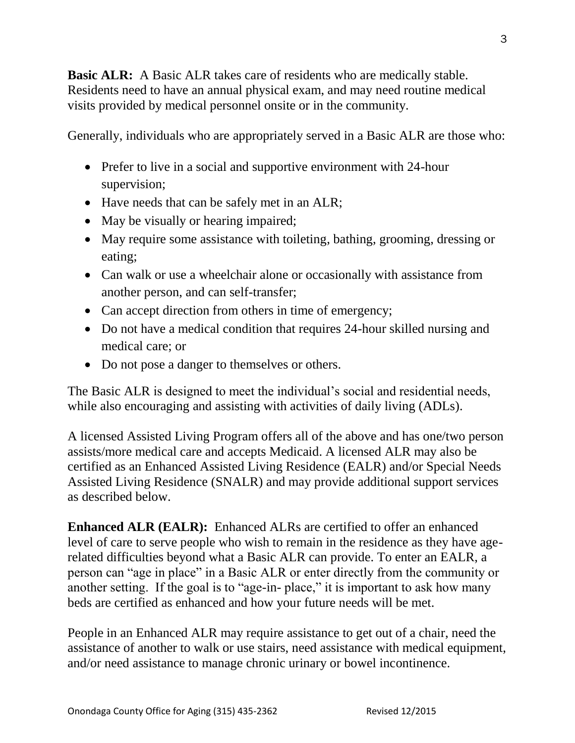**Basic ALR:** A Basic ALR takes care of residents who are medically stable. Residents need to have an annual physical exam, and may need routine medical visits provided by medical personnel onsite or in the community.

Generally, individuals who are appropriately served in a Basic ALR are those who:

- Prefer to live in a social and supportive environment with 24-hour supervision;
- Have needs that can be safely met in an ALR;
- May be visually or hearing impaired;
- May require some assistance with toileting, bathing, grooming, dressing or eating;
- Can walk or use a wheelchair alone or occasionally with assistance from another person, and can self-transfer;
- Can accept direction from others in time of emergency;
- Do not have a medical condition that requires 24-hour skilled nursing and medical care; or
- Do not pose a danger to themselves or others.

The Basic ALR is designed to meet the individual's social and residential needs, while also encouraging and assisting with activities of daily living (ADLs).

A licensed Assisted Living Program offers all of the above and has one/two person assists/more medical care and accepts Medicaid. A licensed ALR may also be certified as an Enhanced Assisted Living Residence (EALR) and/or Special Needs Assisted Living Residence (SNALR) and may provide additional support services as described below.

**Enhanced ALR (EALR):** Enhanced ALRs are certified to offer an enhanced level of care to serve people who wish to remain in the residence as they have agerelated difficulties beyond what a Basic ALR can provide. To enter an EALR, a person can "age in place" in a Basic ALR or enter directly from the community or another setting. If the goal is to "age-in- place," it is important to ask how many beds are certified as enhanced and how your future needs will be met.

People in an Enhanced ALR may require assistance to get out of a chair, need the assistance of another to walk or use stairs, need assistance with medical equipment, and/or need assistance to manage chronic urinary or bowel incontinence.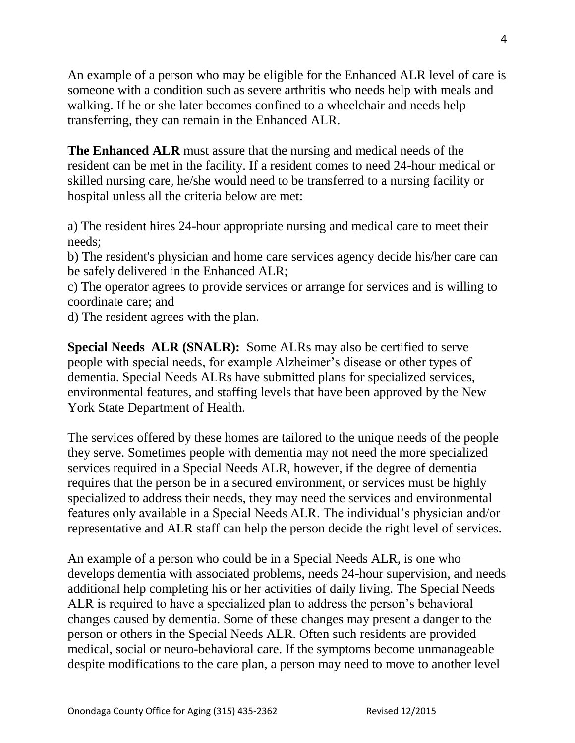An example of a person who may be eligible for the Enhanced ALR level of care is someone with a condition such as severe arthritis who needs help with meals and walking. If he or she later becomes confined to a wheelchair and needs help transferring, they can remain in the Enhanced ALR.

**The Enhanced ALR** must assure that the nursing and medical needs of the resident can be met in the facility. If a resident comes to need 24-hour medical or skilled nursing care, he/she would need to be transferred to a nursing facility or hospital unless all the criteria below are met:

a) The resident hires 24-hour appropriate nursing and medical care to meet their needs;

b) The resident's physician and home care services agency decide his/her care can be safely delivered in the Enhanced ALR;

c) The operator agrees to provide services or arrange for services and is willing to coordinate care; and

d) The resident agrees with the plan.

**Special Needs ALR (SNALR):** Some ALRs may also be certified to serve people with special needs, for example Alzheimer's disease or other types of dementia. Special Needs ALRs have submitted plans for specialized services, environmental features, and staffing levels that have been approved by the New York State Department of Health.

The services offered by these homes are tailored to the unique needs of the people they serve. Sometimes people with dementia may not need the more specialized services required in a Special Needs ALR, however, if the degree of dementia requires that the person be in a secured environment, or services must be highly specialized to address their needs, they may need the services and environmental features only available in a Special Needs ALR. The individual's physician and/or representative and ALR staff can help the person decide the right level of services.

An example of a person who could be in a Special Needs ALR, is one who develops dementia with associated problems, needs 24-hour supervision, and needs additional help completing his or her activities of daily living. The Special Needs ALR is required to have a specialized plan to address the person's behavioral changes caused by dementia. Some of these changes may present a danger to the person or others in the Special Needs ALR. Often such residents are provided medical, social or neuro-behavioral care. If the symptoms become unmanageable despite modifications to the care plan, a person may need to move to another level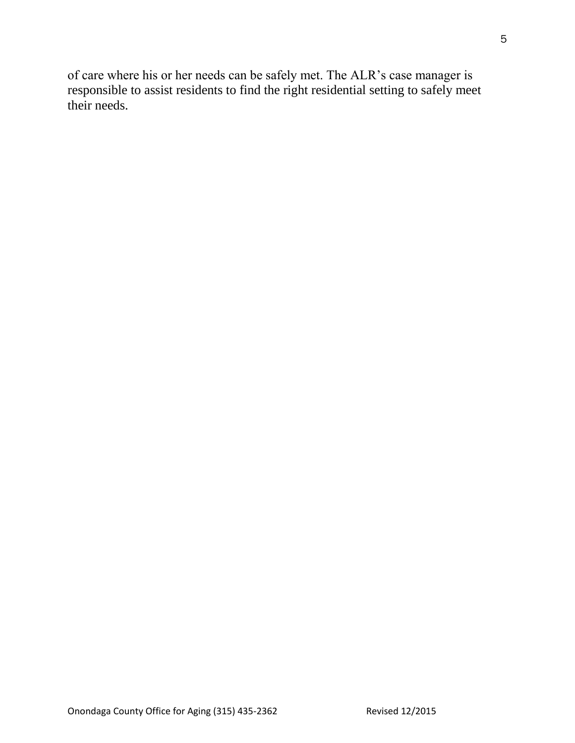of care where his or her needs can be safely met. The ALR's case manager is responsible to assist residents to find the right residential setting to safely meet their needs.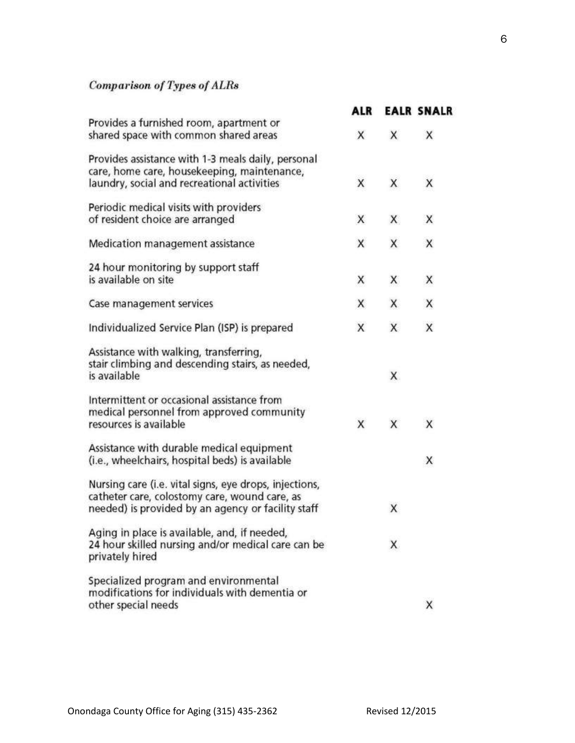# Comparison of Types of  $ALRs$

|                                                                                                                                                               | <b>ALR</b> |    | <b>EALR SNALR</b> |
|---------------------------------------------------------------------------------------------------------------------------------------------------------------|------------|----|-------------------|
| Provides a furnished room, apartment or<br>shared space with common shared areas                                                                              | X          | X  | X                 |
| Provides assistance with 1-3 meals daily, personal<br>care, home care, housekeeping, maintenance,<br>laundry, social and recreational activities              | X          | X  | X                 |
| Periodic medical visits with providers<br>of resident choice are arranged                                                                                     | X          | X  | Χ                 |
| Medication management assistance                                                                                                                              | X          | X  | X                 |
| 24 hour monitoring by support staff<br>is available on site                                                                                                   | X          | X  | Х                 |
| Case management services                                                                                                                                      | X          | X  | х                 |
| Individualized Service Plan (ISP) is prepared                                                                                                                 | X          | X  | X                 |
| Assistance with walking, transferring,<br>stair climbing and descending stairs, as needed,<br>is available                                                    |            | X. |                   |
| Intermittent or occasional assistance from<br>medical personnel from approved community<br>resources is available                                             | X          | X  | X                 |
| Assistance with durable medical equipment<br>(i.e., wheelchairs, hospital beds) is available                                                                  |            |    | X                 |
| Nursing care (i.e. vital signs, eye drops, injections,<br>catheter care, colostomy care, wound care, as<br>needed) is provided by an agency or facility staff |            | Χ  |                   |
| Aging in place is available, and, if needed,<br>24 hour skilled nursing and/or medical care can be<br>privately hired                                         |            | Χ  |                   |
| Specialized program and environmental<br>modifications for individuals with dementia or<br>other special needs                                                |            |    | X                 |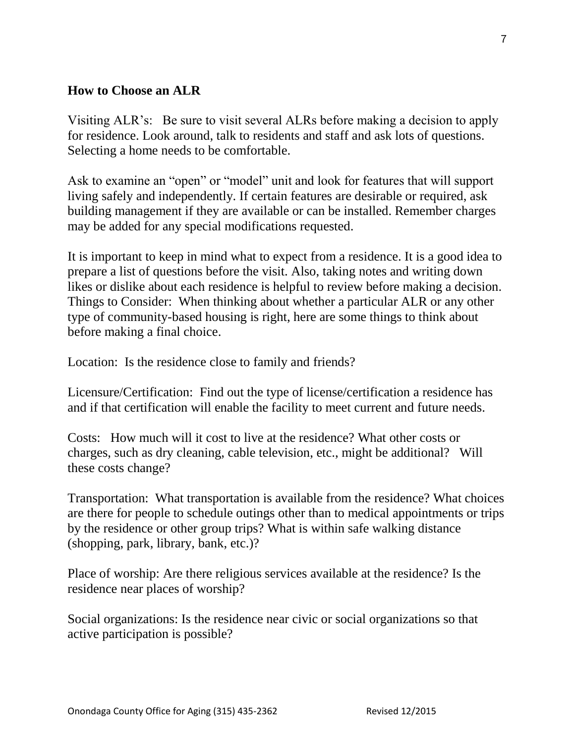## **How to Choose an ALR**

Visiting ALR's: Be sure to visit several ALRs before making a decision to apply for residence. Look around, talk to residents and staff and ask lots of questions. Selecting a home needs to be comfortable.

Ask to examine an "open" or "model" unit and look for features that will support living safely and independently. If certain features are desirable or required, ask building management if they are available or can be installed. Remember charges may be added for any special modifications requested.

It is important to keep in mind what to expect from a residence. It is a good idea to prepare a list of questions before the visit. Also, taking notes and writing down likes or dislike about each residence is helpful to review before making a decision. Things to Consider: When thinking about whether a particular ALR or any other type of community-based housing is right, here are some things to think about before making a final choice.

Location: Is the residence close to family and friends?

Licensure/Certification: Find out the type of license/certification a residence has and if that certification will enable the facility to meet current and future needs.

Costs: How much will it cost to live at the residence? What other costs or charges, such as dry cleaning, cable television, etc., might be additional? Will these costs change?

Transportation: What transportation is available from the residence? What choices are there for people to schedule outings other than to medical appointments or trips by the residence or other group trips? What is within safe walking distance (shopping, park, library, bank, etc.)?

Place of worship: Are there religious services available at the residence? Is the residence near places of worship?

Social organizations: Is the residence near civic or social organizations so that active participation is possible?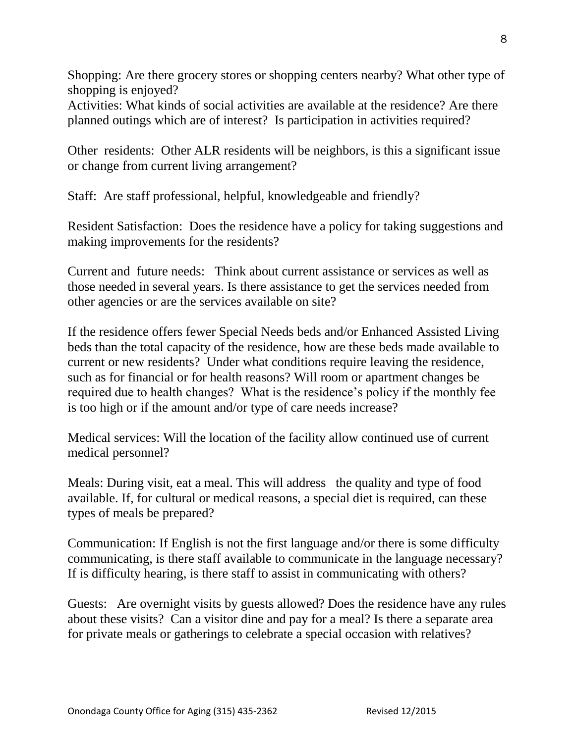Shopping: Are there grocery stores or shopping centers nearby? What other type of shopping is enjoyed?

Activities: What kinds of social activities are available at the residence? Are there planned outings which are of interest? Is participation in activities required?

Other residents: Other ALR residents will be neighbors, is this a significant issue or change from current living arrangement?

Staff: Are staff professional, helpful, knowledgeable and friendly?

Resident Satisfaction: Does the residence have a policy for taking suggestions and making improvements for the residents?

Current and future needs: Think about current assistance or services as well as those needed in several years. Is there assistance to get the services needed from other agencies or are the services available on site?

If the residence offers fewer Special Needs beds and/or Enhanced Assisted Living beds than the total capacity of the residence, how are these beds made available to current or new residents? Under what conditions require leaving the residence, such as for financial or for health reasons? Will room or apartment changes be required due to health changes? What is the residence's policy if the monthly fee is too high or if the amount and/or type of care needs increase?

Medical services: Will the location of the facility allow continued use of current medical personnel?

Meals: During visit, eat a meal. This will address the quality and type of food available. If, for cultural or medical reasons, a special diet is required, can these types of meals be prepared?

Communication: If English is not the first language and/or there is some difficulty communicating, is there staff available to communicate in the language necessary? If is difficulty hearing, is there staff to assist in communicating with others?

Guests: Are overnight visits by guests allowed? Does the residence have any rules about these visits? Can a visitor dine and pay for a meal? Is there a separate area for private meals or gatherings to celebrate a special occasion with relatives?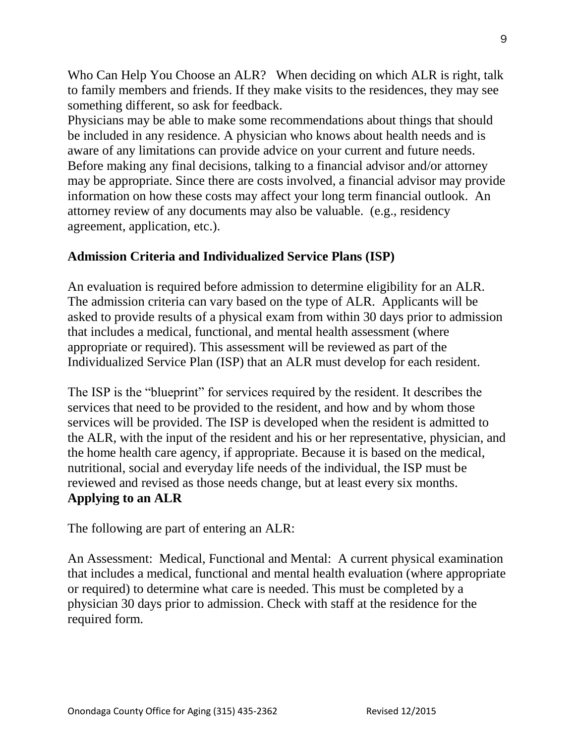Who Can Help You Choose an ALR? When deciding on which ALR is right, talk to family members and friends. If they make visits to the residences, they may see something different, so ask for feedback.

Physicians may be able to make some recommendations about things that should be included in any residence. A physician who knows about health needs and is aware of any limitations can provide advice on your current and future needs. Before making any final decisions, talking to a financial advisor and/or attorney may be appropriate. Since there are costs involved, a financial advisor may provide information on how these costs may affect your long term financial outlook. An attorney review of any documents may also be valuable. (e.g., residency agreement, application, etc.).

## **Admission Criteria and Individualized Service Plans (ISP)**

An evaluation is required before admission to determine eligibility for an ALR. The admission criteria can vary based on the type of ALR. Applicants will be asked to provide results of a physical exam from within 30 days prior to admission that includes a medical, functional, and mental health assessment (where appropriate or required). This assessment will be reviewed as part of the Individualized Service Plan (ISP) that an ALR must develop for each resident.

The ISP is the "blueprint" for services required by the resident. It describes the services that need to be provided to the resident, and how and by whom those services will be provided. The ISP is developed when the resident is admitted to the ALR, with the input of the resident and his or her representative, physician, and the home health care agency, if appropriate. Because it is based on the medical, nutritional, social and everyday life needs of the individual, the ISP must be reviewed and revised as those needs change, but at least every six months. **Applying to an ALR**

The following are part of entering an ALR:

An Assessment: Medical, Functional and Mental: A current physical examination that includes a medical, functional and mental health evaluation (where appropriate or required) to determine what care is needed. This must be completed by a physician 30 days prior to admission. Check with staff at the residence for the required form.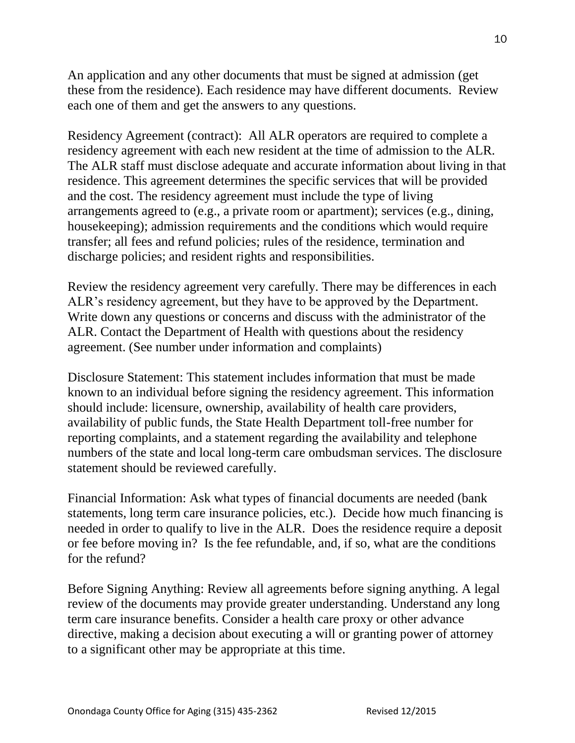An application and any other documents that must be signed at admission (get these from the residence). Each residence may have different documents. Review each one of them and get the answers to any questions.

Residency Agreement (contract): All ALR operators are required to complete a residency agreement with each new resident at the time of admission to the ALR. The ALR staff must disclose adequate and accurate information about living in that residence. This agreement determines the specific services that will be provided and the cost. The residency agreement must include the type of living arrangements agreed to (e.g., a private room or apartment); services (e.g., dining, housekeeping); admission requirements and the conditions which would require transfer; all fees and refund policies; rules of the residence, termination and discharge policies; and resident rights and responsibilities.

Review the residency agreement very carefully. There may be differences in each ALR's residency agreement, but they have to be approved by the Department. Write down any questions or concerns and discuss with the administrator of the ALR. Contact the Department of Health with questions about the residency agreement. (See number under information and complaints)

Disclosure Statement: This statement includes information that must be made known to an individual before signing the residency agreement. This information should include: licensure, ownership, availability of health care providers, availability of public funds, the State Health Department toll-free number for reporting complaints, and a statement regarding the availability and telephone numbers of the state and local long-term care ombudsman services. The disclosure statement should be reviewed carefully.

Financial Information: Ask what types of financial documents are needed (bank statements, long term care insurance policies, etc.). Decide how much financing is needed in order to qualify to live in the ALR. Does the residence require a deposit or fee before moving in? Is the fee refundable, and, if so, what are the conditions for the refund?

Before Signing Anything: Review all agreements before signing anything. A legal review of the documents may provide greater understanding. Understand any long term care insurance benefits. Consider a health care proxy or other advance directive, making a decision about executing a will or granting power of attorney to a significant other may be appropriate at this time.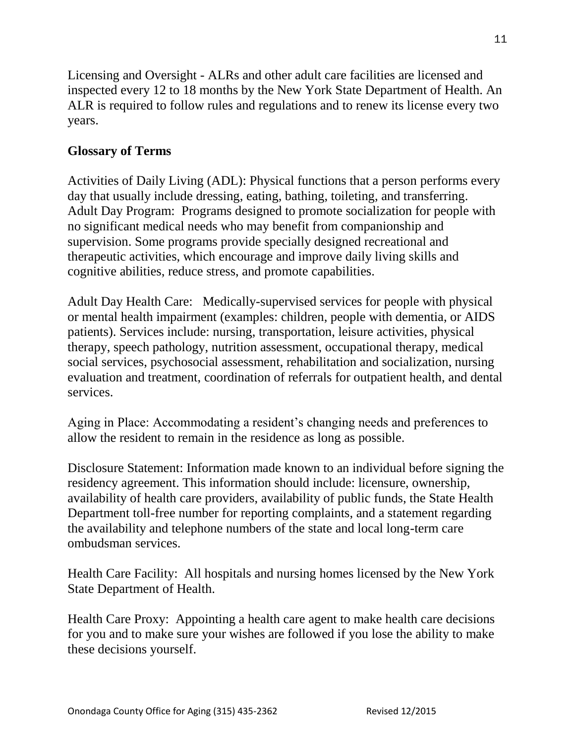Licensing and Oversight - ALRs and other adult care facilities are licensed and inspected every 12 to 18 months by the New York State Department of Health. An ALR is required to follow rules and regulations and to renew its license every two years.

## **Glossary of Terms**

Activities of Daily Living (ADL): Physical functions that a person performs every day that usually include dressing, eating, bathing, toileting, and transferring. Adult Day Program: Programs designed to promote socialization for people with no significant medical needs who may benefit from companionship and supervision. Some programs provide specially designed recreational and therapeutic activities, which encourage and improve daily living skills and cognitive abilities, reduce stress, and promote capabilities.

Adult Day Health Care: Medically-supervised services for people with physical or mental health impairment (examples: children, people with dementia, or AIDS patients). Services include: nursing, transportation, leisure activities, physical therapy, speech pathology, nutrition assessment, occupational therapy, medical social services, psychosocial assessment, rehabilitation and socialization, nursing evaluation and treatment, coordination of referrals for outpatient health, and dental services.

Aging in Place: Accommodating a resident's changing needs and preferences to allow the resident to remain in the residence as long as possible.

Disclosure Statement: Information made known to an individual before signing the residency agreement. This information should include: licensure, ownership, availability of health care providers, availability of public funds, the State Health Department toll-free number for reporting complaints, and a statement regarding the availability and telephone numbers of the state and local long-term care ombudsman services.

Health Care Facility: All hospitals and nursing homes licensed by the New York State Department of Health.

Health Care Proxy: Appointing a health care agent to make health care decisions for you and to make sure your wishes are followed if you lose the ability to make these decisions yourself.